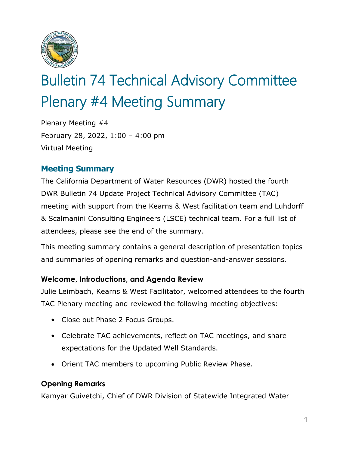

# Bulletin 74 Technical Advisory Committee Plenary #4 Meeting Summary

Plenary Meeting #4 February 28, 2022, 1:00 – 4:00 pm Virtual Meeting

# **Meeting Summary**

The California Department of Water Resources (DWR) hosted the fourth DWR Bulletin 74 Update Project Technical Advisory Committee (TAC) meeting with support from the Kearns & West facilitation team and Luhdorff & Scalmanini Consulting Engineers (LSCE) technical team. For a full list of attendees, please see the end of the summary.

This meeting summary contains a general description of presentation topics and summaries of opening remarks and question-and-answer sessions.

## **Welcome, Introductions, and Agenda Review**

Julie Leimbach, Kearns & West Facilitator, welcomed attendees to the fourth TAC Plenary meeting and reviewed the following meeting objectives:

- Close out Phase 2 Focus Groups.
- Celebrate TAC achievements, reflect on TAC meetings, and share expectations for the Updated Well Standards.
- Orient TAC members to upcoming Public Review Phase.

## **Opening Remarks**

Kamyar Guivetchi, Chief of DWR Division of Statewide Integrated Water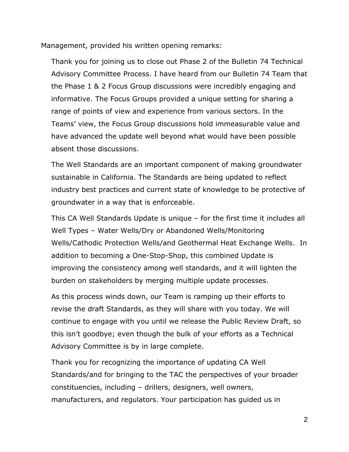Management, provided his written opening remarks:

Thank you for joining us to close out Phase 2 of the Bulletin 74 Technical Advisory Committee Process. I have heard from our Bulletin 74 Team that the Phase 1 & 2 Focus Group discussions were incredibly engaging and informative. The Focus Groups provided a unique setting for sharing a range of points of view and experience from various sectors. In the Teams' view, the Focus Group discussions hold immeasurable value and have advanced the update well beyond what would have been possible absent those discussions.

The Well Standards are an important component of making groundwater sustainable in California. The Standards are being updated to reflect industry best practices and current state of knowledge to be protective of groundwater in a way that is enforceable.

This CA Well Standards Update is unique – for the first time it includes all Well Types – Water Wells/Dry or Abandoned Wells/Monitoring Wells/Cathodic Protection Wells/and Geothermal Heat Exchange Wells. In addition to becoming a One-Stop-Shop, this combined Update is improving the consistency among well standards, and it will lighten the burden on stakeholders by merging multiple update processes.

As this process winds down, our Team is ramping up their efforts to revise the draft Standards, as they will share with you today. We will continue to engage with you until we release the Public Review Draft, so this isn't goodbye; even though the bulk of your efforts as a Technical Advisory Committee is by in large complete.

Thank you for recognizing the importance of updating CA Well Standards/and for bringing to the TAC the perspectives of your broader constituencies, including – drillers, designers, well owners, manufacturers, and regulators. Your participation has guided us in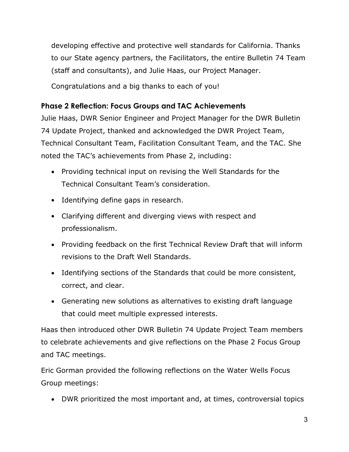developing effective and protective well standards for California. Thanks to our State agency partners, the Facilitators, the entire Bulletin 74 Team (staff and consultants), and Julie Haas, our Project Manager.

Congratulations and a big thanks to each of you!

## **Phase 2 Reflection: Focus Groups and TAC Achievements**

Julie Haas, DWR Senior Engineer and Project Manager for the DWR Bulletin 74 Update Project, thanked and acknowledged the DWR Project Team, Technical Consultant Team, Facilitation Consultant Team, and the TAC. She noted the TAC's achievements from Phase 2, including:

- Providing technical input on revising the Well Standards for the Technical Consultant Team's consideration.
- Identifying define gaps in research.
- Clarifying different and diverging views with respect and professionalism.
- Providing feedback on the first Technical Review Draft that will inform revisions to the Draft Well Standards.
- Identifying sections of the Standards that could be more consistent, correct, and clear.
- Generating new solutions as alternatives to existing draft language that could meet multiple expressed interests.

Haas then introduced other DWR Bulletin 74 Update Project Team members to celebrate achievements and give reflections on the Phase 2 Focus Group and TAC meetings.

Eric Gorman provided the following reflections on the Water Wells Focus Group meetings:

• DWR prioritized the most important and, at times, controversial topics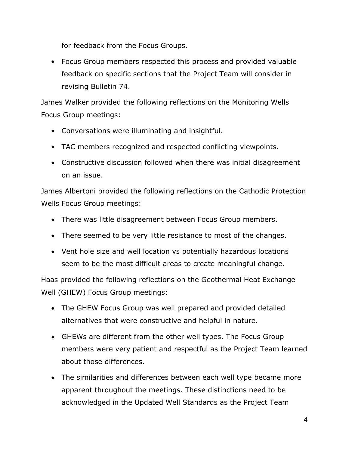for feedback from the Focus Groups.

• Focus Group members respected this process and provided valuable feedback on specific sections that the Project Team will consider in revising Bulletin 74.

James Walker provided the following reflections on the Monitoring Wells Focus Group meetings:

- Conversations were illuminating and insightful.
- TAC members recognized and respected conflicting viewpoints.
- Constructive discussion followed when there was initial disagreement on an issue.

James Albertoni provided the following reflections on the Cathodic Protection Wells Focus Group meetings:

- There was little disagreement between Focus Group members.
- There seemed to be very little resistance to most of the changes.
- Vent hole size and well location vs potentially hazardous locations seem to be the most difficult areas to create meaningful change.

Haas provided the following reflections on the Geothermal Heat Exchange Well (GHEW) Focus Group meetings:

- The GHEW Focus Group was well prepared and provided detailed alternatives that were constructive and helpful in nature.
- GHEWs are different from the other well types. The Focus Group members were very patient and respectful as the Project Team learned about those differences.
- The similarities and differences between each well type became more apparent throughout the meetings. These distinctions need to be acknowledged in the Updated Well Standards as the Project Team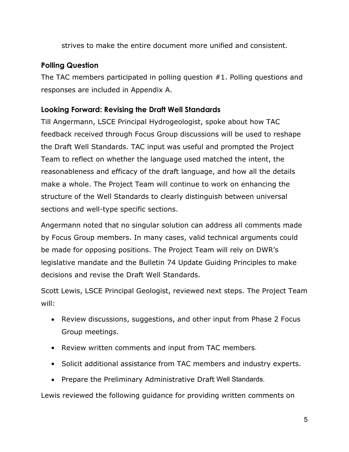strives to make the entire document more unified and consistent.

# **Polling Question**

The TAC members participated in polling question #1. Polling questions and responses are included in Appendix A.

## **Looking Forward: Revising the Draft Well Standards**

Till Angermann, LSCE Principal Hydrogeologist, spoke about how TAC feedback received through Focus Group discussions will be used to reshape the Draft Well Standards. TAC input was useful and prompted the Project Team to reflect on whether the language used matched the intent, the reasonableness and efficacy of the draft language, and how all the details make a whole. The Project Team will continue to work on enhancing the structure of the Well Standards to clearly distinguish between universal sections and well-type specific sections.

Angermann noted that no singular solution can address all comments made by Focus Group members. In many cases, valid technical arguments could be made for opposing positions. The Project Team will rely on DWR's legislative mandate and the Bulletin 74 Update Guiding Principles to make decisions and revise the Draft Well Standards.

Scott Lewis, LSCE Principal Geologist, reviewed next steps. The Project Team will:

- Review discussions, suggestions, and other input from Phase 2 Focus Group meetings.
- Review written comments and input from TAC members.
- Solicit additional assistance from TAC members and industry experts.
- Prepare the Preliminary Administrative Draft Well Standards.

Lewis reviewed the following guidance for providing written comments on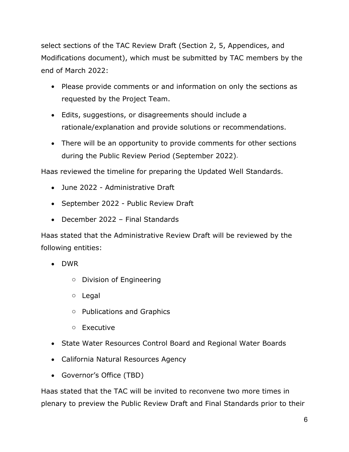select sections of the TAC Review Draft (Section 2, 5, Appendices, and Modifications document), which must be submitted by TAC members by the end of March 2022:

- Please provide comments or and information on only the sections as requested by the Project Team.
- Edits, suggestions, or disagreements should include a rationale/explanation and provide solutions or recommendations.
- There will be an opportunity to provide comments for other sections during the Public Review Period (September 2022).

Haas reviewed the timeline for preparing the Updated Well Standards.

- June 2022 Administrative Draft
- September 2022 Public Review Draft
- December 2022 Final Standards

Haas stated that the Administrative Review Draft will be reviewed by the following entities:

- DWR
	- o Division of Engineering
	- o Legal
	- o Publications and Graphics
	- o Executive
- State Water Resources Control Board and Regional Water Boards
- California Natural Resources Agency
- Governor's Office (TBD)

Haas stated that the TAC will be invited to reconvene two more times in plenary to preview the Public Review Draft and Final Standards prior to their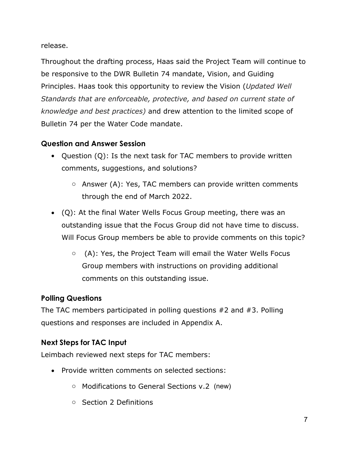release.

Throughout the drafting process, Haas said the Project Team will continue to be responsive to the DWR Bulletin 74 mandate, Vision, and Guiding Principles. Haas took this opportunity to review the Vision (*Updated Well Standards that are enforceable, protective, and based on current state of knowledge and best practices)* and drew attention to the limited scope of Bulletin 74 per the Water Code mandate.

# **Question and Answer Session**

- Question (Q): Is the next task for TAC members to provide written comments, suggestions, and solutions?
	- o Answer (A): Yes, TAC members can provide written comments through the end of March 2022.
- (Q): At the final Water Wells Focus Group meeting, there was an outstanding issue that the Focus Group did not have time to discuss. Will Focus Group members be able to provide comments on this topic?
	- o (A): Yes, the Project Team will email the Water Wells Focus Group members with instructions on providing additional comments on this outstanding issue.

# **Polling Questions**

The TAC members participated in polling questions #2 and #3. Polling questions and responses are included in Appendix A.

# **Next Steps for TAC Input**

Leimbach reviewed next steps for TAC members:

- Provide written comments on selected sections:
	- o Modifications to General Sections v.2 (new)
	- o Section 2 Definitions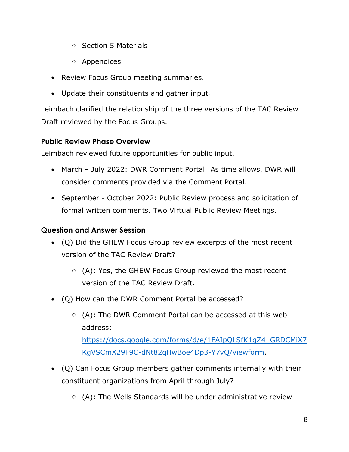- o Section 5 Materials
- o Appendices
- Review Focus Group meeting summaries.
- Update their constituents and gather input.

Leimbach clarified the relationship of the three versions of the TAC Review Draft reviewed by the Focus Groups.

#### **Public Review Phase Overview**

Leimbach reviewed future opportunities for public input.

- March July 2022: DWR Comment Portal. As time allows, DWR will consider comments provided via the Comment Portal.
- September October 2022: Public Review process and solicitation of formal written comments. Two Virtual Public Review Meetings.

### **Question and Answer Session**

- (Q) Did the GHEW Focus Group review excerpts of the most recent version of the TAC Review Draft?
	- o (A): Yes, the GHEW Focus Group reviewed the most recent version of the TAC Review Draft.
- (Q) How can the DWR Comment Portal be accessed?
	- o (A): The DWR Comment Portal can be accessed at this web address: [https://docs.google.com/forms/d/e/1FAIpQLSfK1qZ4\\_GRDCMiX7](https://docs.google.com/forms/d/e/1FAIpQLSfK1qZ4_GRDCMiX7KgVSCmX29F9C-dNt82qHwBoe4Dp3-Y7vQ/viewform) [KgVSCmX29F9C-dNt82qHwBoe4Dp3-Y7vQ/viewform.](https://docs.google.com/forms/d/e/1FAIpQLSfK1qZ4_GRDCMiX7KgVSCmX29F9C-dNt82qHwBoe4Dp3-Y7vQ/viewform)
- (Q) Can Focus Group members gather comments internally with their constituent organizations from April through July?
	- $\circ$  (A): The Wells Standards will be under administrative review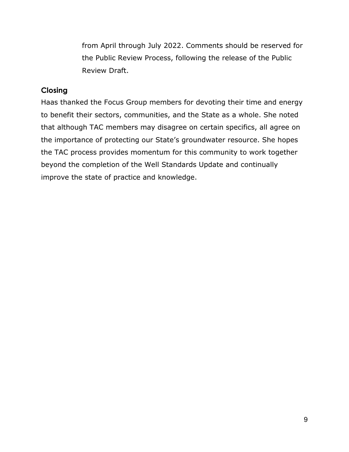from April through July 2022. Comments should be reserved for the Public Review Process, following the release of the Public Review Draft.

#### **Closing**

Haas thanked the Focus Group members for devoting their time and energy to benefit their sectors, communities, and the State as a whole. She noted that although TAC members may disagree on certain specifics, all agree on the importance of protecting our State's groundwater resource. She hopes the TAC process provides momentum for this community to work together beyond the completion of the Well Standards Update and continually improve the state of practice and knowledge.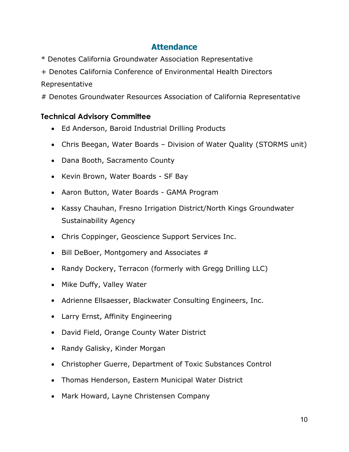# **Attendance**

- \* Denotes California Groundwater Association Representative
- + Denotes California Conference of Environmental Health Directors

#### Representative

# Denotes Groundwater Resources Association of California Representative

## **Technical Advisory Committee**

- Ed Anderson, Baroid Industrial Drilling Products
- Chris Beegan, Water Boards Division of Water Quality (STORMS unit)
- Dana Booth, Sacramento County
- Kevin Brown, Water Boards SF Bay
- Aaron Button, Water Boards GAMA Program
- Kassy Chauhan, Fresno Irrigation District/North Kings Groundwater Sustainability Agency
- Chris Coppinger, Geoscience Support Services Inc.
- Bill DeBoer, Montgomery and Associates #
- Randy Dockery, Terracon (formerly with Gregg Drilling LLC)
- Mike Duffy, Valley Water
- Adrienne Ellsaesser, Blackwater Consulting Engineers, Inc.
- Larry Ernst, Affinity Engineering
- David Field, Orange County Water District
- Randy Galisky, Kinder Morgan
- Christopher Guerre, Department of Toxic Substances Control
- Thomas Henderson, Eastern Municipal Water District
- Mark Howard, Layne Christensen Company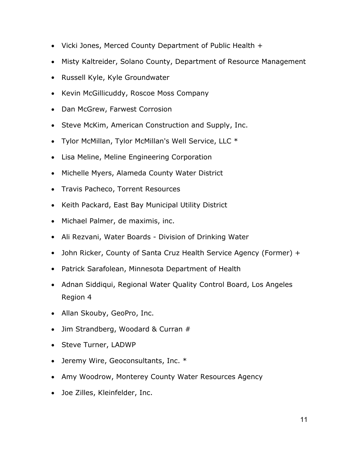- Vicki Jones, Merced County Department of Public Health +
- Misty Kaltreider, Solano County, Department of Resource Management
- Russell Kyle, Kyle Groundwater
- Kevin McGillicuddy, Roscoe Moss Company
- Dan McGrew, Farwest Corrosion
- Steve McKim, American Construction and Supply, Inc.
- Tylor McMillan, Tylor McMillan's Well Service, LLC \*
- Lisa Meline, Meline Engineering Corporation
- Michelle Myers, Alameda County Water District
- Travis Pacheco, Torrent Resources
- Keith Packard, East Bay Municipal Utility District
- Michael Palmer, de maximis, inc.
- Ali Rezvani, Water Boards Division of Drinking Water
- John Ricker, County of Santa Cruz Health Service Agency (Former) +
- Patrick Sarafolean, Minnesota Department of Health
- Adnan Siddiqui, Regional Water Quality Control Board, Los Angeles Region 4
- Allan Skouby, GeoPro, Inc.
- Jim Strandberg, Woodard & Curran #
- Steve Turner, LADWP
- Jeremy Wire, Geoconsultants, Inc. \*
- Amy Woodrow, Monterey County Water Resources Agency
- Joe Zilles, Kleinfelder, Inc.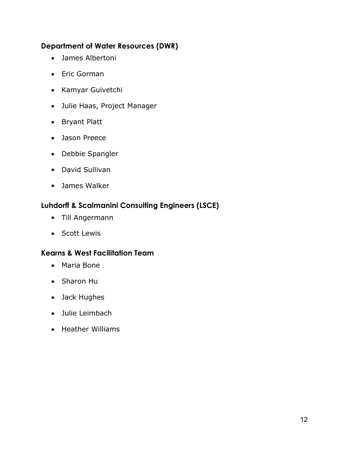## **Department of Water Resources (DWR)**

- James Albertoni
- Eric Gorman
- Kamyar Guivetchi
- Julie Haas, Project Manager
- Bryant Platt
- Jason Preece
- Debbie Spangler
- David Sullivan
- James Walker

## **Luhdorff & Scalmanini Consulting Engineers (LSCE)**

- Till Angermann
- Scott Lewis

## **Kearns & West Facilitation Team**

- Maria Bone
- Sharon Hu
- Jack Hughes
- Julie Leimbach
- Heather Williams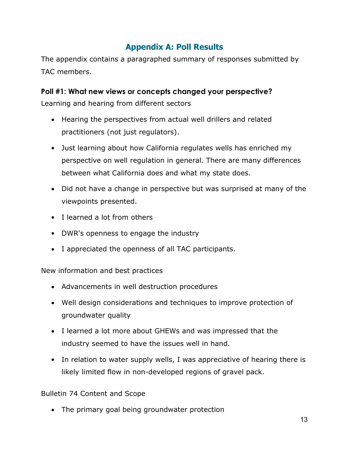# **Appendix A: Poll Results**

The appendix contains a paragraphed summary of responses submitted by TAC members.

## **Poll #1: What new views or concepts changed your perspective?**

Learning and hearing from different sectors

- Hearing the perspectives from actual well drillers and related practitioners (not just regulators).
- Just learning about how California regulates wells has enriched my perspective on well regulation in general. There are many differences between what California does and what my state does.
- Did not have a change in perspective but was surprised at many of the viewpoints presented.
- I learned a lot from others
- DWR's openness to engage the industry
- I appreciated the openness of all TAC participants.

New information and best practices

- Advancements in well destruction procedures
- Well design considerations and techniques to improve protection of groundwater quality
- I learned a lot more about GHEWs and was impressed that the industry seemed to have the issues well in hand.
- In relation to water supply wells, I was appreciative of hearing there is likely limited flow in non-developed regions of gravel pack.

Bulletin 74 Content and Scope

• The primary goal being groundwater protection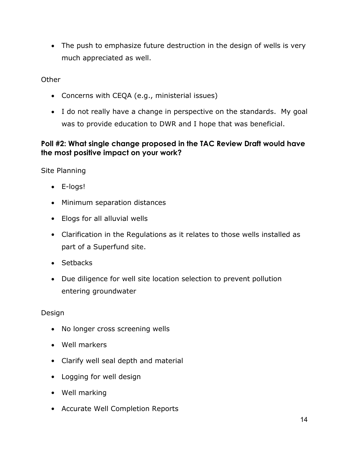• The push to emphasize future destruction in the design of wells is very much appreciated as well.

**Other** 

- Concerns with CEQA (e.g., ministerial issues)
- I do not really have a change in perspective on the standards. My goal was to provide education to DWR and I hope that was beneficial.

### **Poll #2: What single change proposed in the TAC Review Draft would have the most positive impact on your work?**

Site Planning

- E-logs!
- Minimum separation distances
- Elogs for all alluvial wells
- Clarification in the Regulations as it relates to those wells installed as part of a Superfund site.
- Setbacks
- Due diligence for well site location selection to prevent pollution entering groundwater

Design

- No longer cross screening wells
- Well markers
- Clarify well seal depth and material
- Logging for well design
- Well marking
- Accurate Well Completion Reports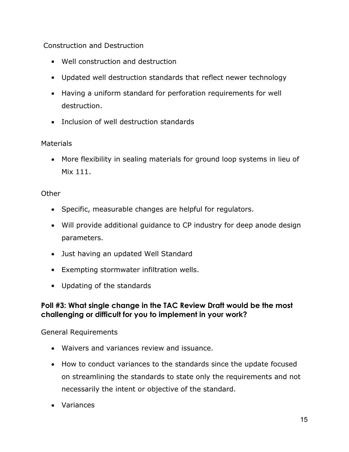### Construction and Destruction

- Well construction and destruction
- Updated well destruction standards that reflect newer technology
- Having a uniform standard for perforation requirements for well destruction.
- Inclusion of well destruction standards

#### **Materials**

• More flexibility in sealing materials for ground loop systems in lieu of Mix 111.

#### **Other**

- Specific, measurable changes are helpful for regulators.
- Will provide additional guidance to CP industry for deep anode design parameters.
- Just having an updated Well Standard
- Exempting stormwater infiltration wells.
- Updating of the standards

#### **Poll #3: What single change in the TAC Review Draft would be the most challenging or difficult for you to implement in your work?**

#### General Requirements

- Waivers and variances review and issuance.
- How to conduct variances to the standards since the update focused on streamlining the standards to state only the requirements and not necessarily the intent or objective of the standard.
- Variances